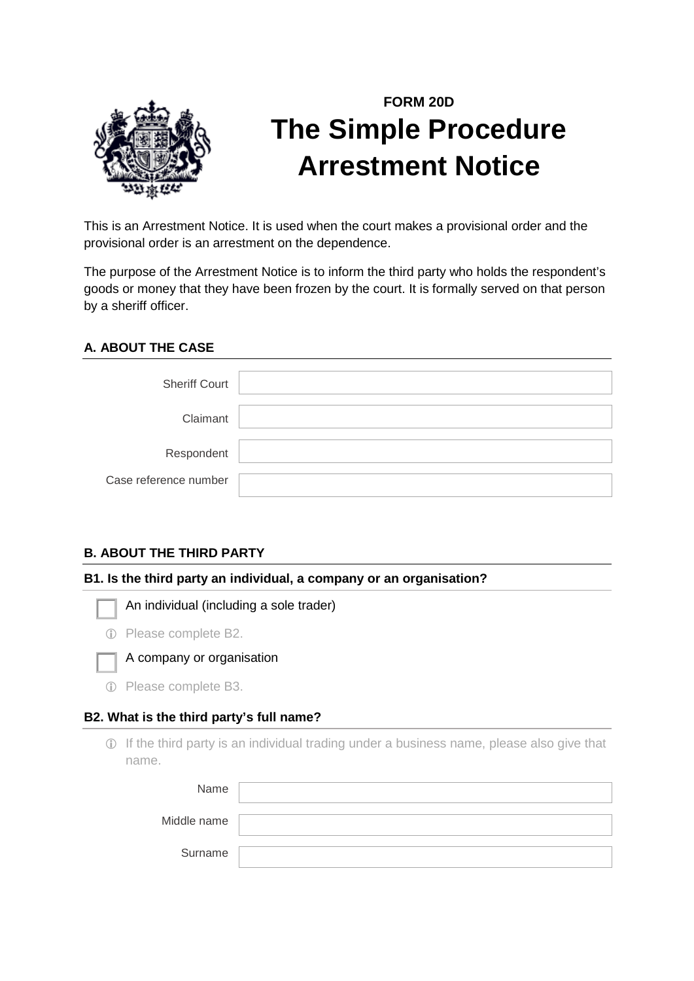

# **FORM 20D The Simple Procedure Arrestment Notice**

This is an Arrestment Notice. It is used when the court makes a provisional order and the provisional order is an arrestment on the dependence.

The purpose of the Arrestment Notice is to inform the third party who holds the respondent's goods or money that they have been frozen by the court. It is formally served on that person by a sheriff officer.

# **A. ABOUT THE CASE**

| <b>Sheriff Court</b>  |  |
|-----------------------|--|
| Claimant              |  |
| Respondent            |  |
| Case reference number |  |

## **B. ABOUT THE THIRD PARTY**

#### **B1. Is the third party an individual, a company or an organisation?**

An individual (including a sole trader)

|  | 1 Please complete B2. |  |
|--|-----------------------|--|
|  |                       |  |



## A company or organisation

Please complete B3.

## **B2. What is the third party's full name?**

 If the third party is an individual trading under a business name, please also give that name.

| Name        |  |
|-------------|--|
| Middle name |  |
| Surname     |  |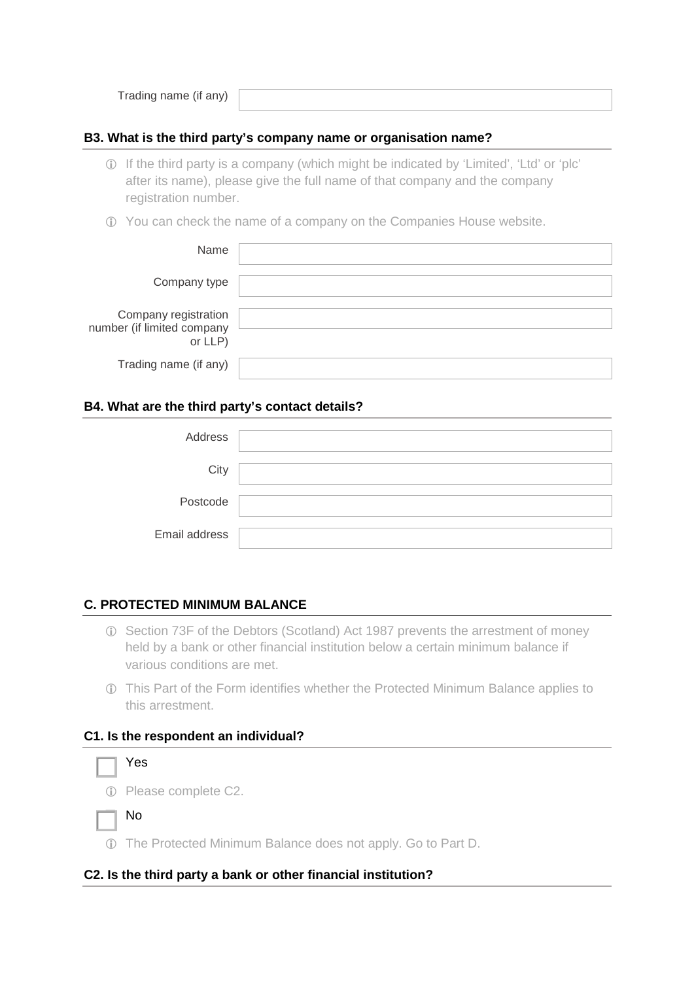Trading name (if any)

## **B3. What is the third party's company name or organisation name?**

- If the third party is a company (which might be indicated by 'Limited', 'Ltd' or 'plc' after its name), please give the full name of that company and the company registration number.
- You can check the name of a company on the Companies House website.

| Name                                                          |  |
|---------------------------------------------------------------|--|
| Company type                                                  |  |
| Company registration<br>number (if limited company<br>or LLP) |  |
| Trading name (if any)                                         |  |

#### **B4. What are the third party's contact details?**

| Address       |  |
|---------------|--|
| City          |  |
| Postcode      |  |
| Email address |  |

## **C. PROTECTED MINIMUM BALANCE**

- Section 73F of the Debtors (Scotland) Act 1987 prevents the arrestment of money held by a bank or other financial institution below a certain minimum balance if various conditions are met.
- This Part of the Form identifies whether the Protected Minimum Balance applies to this arrestment.

#### **C1. Is the respondent an individual?**



Please complete C2.

No

The Protected Minimum Balance does not apply. Go to Part D.

#### **C2. Is the third party a bank or other financial institution?**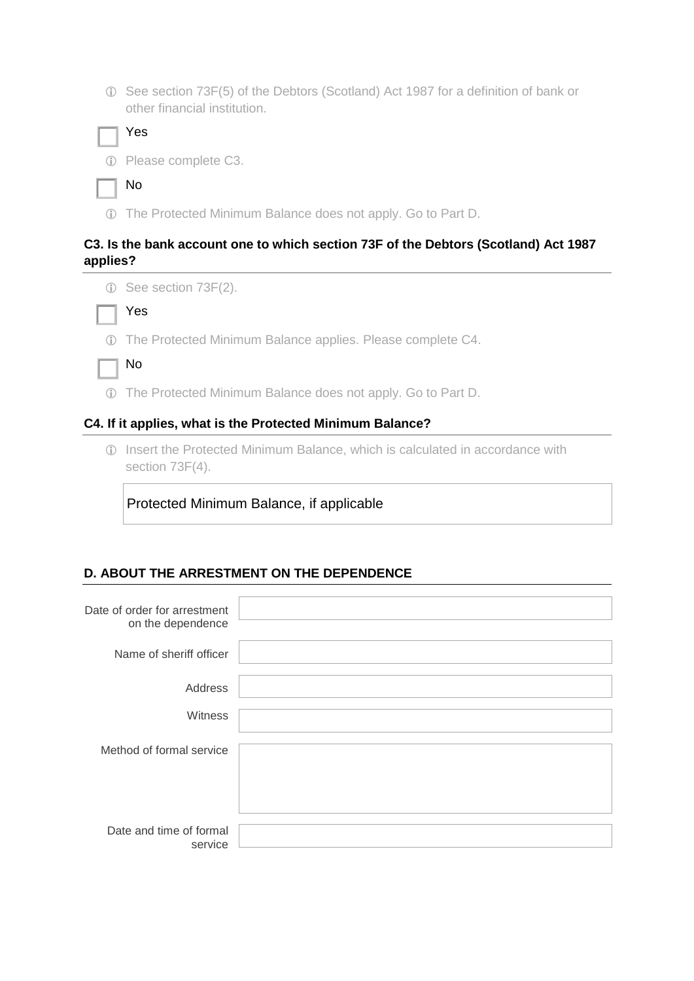See section 73F(5) of the Debtors (Scotland) Act 1987 for a definition of bank or other financial institution.

Please complete C3.

| I |
|---|
|   |

The Protected Minimum Balance does not apply. Go to Part D.

## **C3. Is the bank account one to which section 73F of the Debtors (Scotland) Act 1987 applies?**



Yes

The Protected Minimum Balance applies. Please complete C4.

The Protected Minimum Balance does not apply. Go to Part D.

#### **C4. If it applies, what is the Protected Minimum Balance?**

 Insert the Protected Minimum Balance, which is calculated in accordance with section 73F(4).

Protected Minimum Balance, if applicable

## **D. ABOUT THE ARRESTMENT ON THE DEPENDENCE**

| Date of order for arrestment<br>on the dependence |  |
|---------------------------------------------------|--|
| Name of sheriff officer                           |  |
| Address                                           |  |
| Witness                                           |  |
| Method of formal service                          |  |
| Date and time of formal<br>service                |  |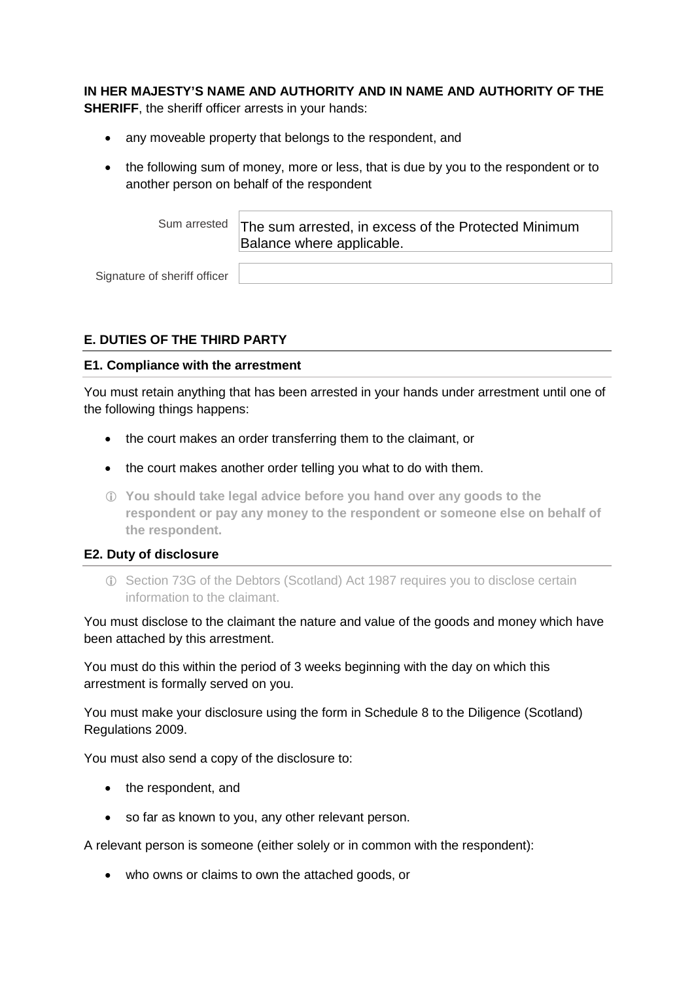**IN HER MAJESTY'S NAME AND AUTHORITY AND IN NAME AND AUTHORITY OF THE SHERIFF**, the sheriff officer arrests in your hands:

- any moveable property that belongs to the respondent, and
- the following sum of money, more or less, that is due by you to the respondent or to another person on behalf of the respondent

Sum arrested The sum arrested, in excess of the Protected Minimum Balance where applicable.

Signature of sheriff officer

## **E. DUTIES OF THE THIRD PARTY**

#### **E1. Compliance with the arrestment**

You must retain anything that has been arrested in your hands under arrestment until one of the following things happens:

- the court makes an order transferring them to the claimant, or
- the court makes another order telling you what to do with them.
- **You should take legal advice before you hand over any goods to the respondent or pay any money to the respondent or someone else on behalf of the respondent.**

#### **E2. Duty of disclosure**

 Section 73G of the Debtors (Scotland) Act 1987 requires you to disclose certain information to the claimant.

You must disclose to the claimant the nature and value of the goods and money which have been attached by this arrestment.

You must do this within the period of 3 weeks beginning with the day on which this arrestment is formally served on you.

You must make your disclosure using the form in Schedule 8 to the Diligence (Scotland) Regulations 2009.

You must also send a copy of the disclosure to:

- the respondent, and
- so far as known to you, any other relevant person.

A relevant person is someone (either solely or in common with the respondent):

• who owns or claims to own the attached goods, or